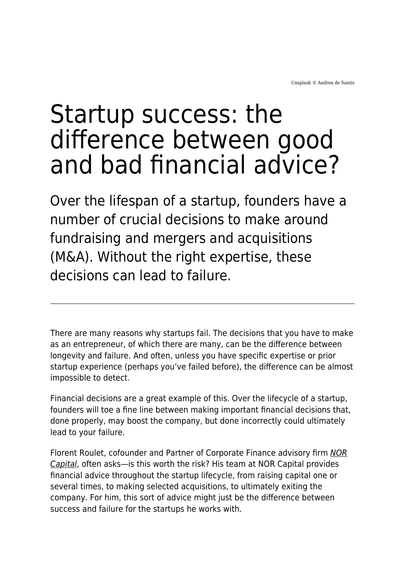## Startup success: the difference between good and bad financial advice?

Over the lifespan of a startup, founders have a number of crucial decisions to make around fundraising and mergers and acquisitions (M&A). Without the right expertise, these decisions can lead to failure.

There are many reasons why startups fail. The decisions that you have to make as an entrepreneur, of which there are many, can be the difference between longevity and failure. And often, unless you have specific expertise or prior startup experience (perhaps you've failed before), the difference can be almost impossible to detect.

Financial decisions are a great example of this. Over the lifecycle of a startup, founders will toe a fine line between making important financial decisions that, done properly, may boost the company, but done incorrectly could ultimately lead to your failure.

Florent Roulet, cofounder and Partner of Corporate Finance advisory firm [NOR](https://www.norcapital.com/) [Capital](https://www.norcapital.com/), often asks—is this worth the risk? His team at NOR Capital provides financial advice throughout the startup lifecycle, from raising capital one or several times, to making selected acquisitions, to ultimately exiting the company. For him, this sort of advice might just be the difference between success and failure for the startups he works with.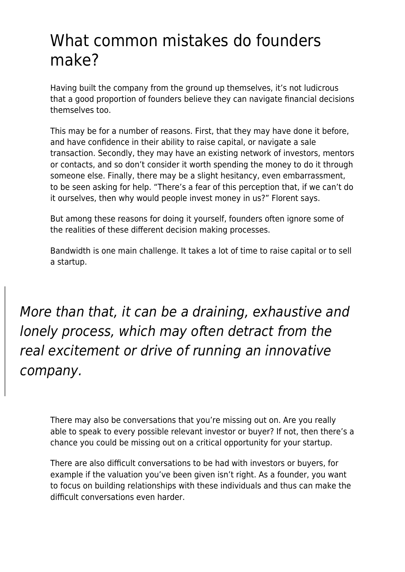## What common mistakes do founders make?

Having built the company from the ground up themselves, it's not ludicrous that a good proportion of founders believe they can navigate financial decisions themselves too.

This may be for a number of reasons. First, that they may have done it before, and have confidence in their ability to raise capital, or navigate a sale transaction. Secondly, they may have an existing network of investors, mentors or contacts, and so don't consider it worth spending the money to do it through someone else. Finally, there may be a slight hesitancy, even embarrassment, to be seen asking for help. "There's a fear of this perception that, if we can't do it ourselves, then why would people invest money in us?" Florent says.

But among these reasons for doing it yourself, founders often ignore some of the realities of these different decision making processes.

Bandwidth is one main challenge. It takes a lot of time to raise capital or to sell a startup.

More than that, it can be a draining, exhaustive and lonely process, which may often detract from the real excitement or drive of running an innovative company.

There may also be conversations that you're missing out on. Are you really able to speak to every possible relevant investor or buyer? If not, then there's a chance you could be missing out on a critical opportunity for your startup.

There are also difficult conversations to be had with investors or buyers, for example if the valuation you've been given isn't right. As a founder, you want to focus on building relationships with these individuals and thus can make the difficult conversations even harder.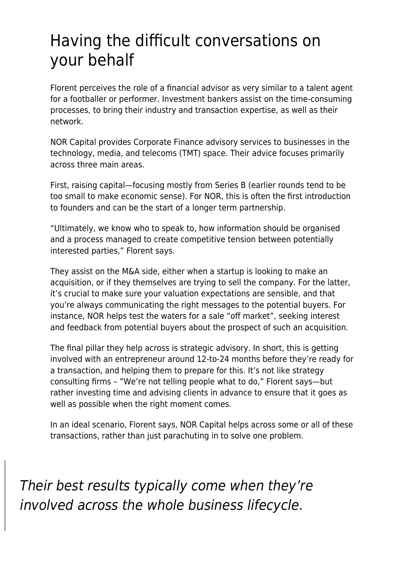## Having the difficult conversations on your behalf

Florent perceives the role of a financial advisor as very similar to a talent agent for a footballer or performer. Investment bankers assist on the time-consuming processes, to bring their industry and transaction expertise, as well as their network.

NOR Capital provides Corporate Finance advisory services to businesses in the technology, media, and telecoms (TMT) space. Their advice focuses primarily across three main areas.

First, raising capital—focusing mostly from Series B (earlier rounds tend to be too small to make economic sense). For NOR, this is often the first introduction to founders and can be the start of a longer term partnership.

"Ultimately, we know who to speak to, how information should be organised and a process managed to create competitive tension between potentially interested parties," Florent says.

They assist on the M&A side, either when a startup is looking to make an acquisition, or if they themselves are trying to sell the company. For the latter, it's crucial to make sure your valuation expectations are sensible, and that you're always communicating the right messages to the potential buyers. For instance, NOR helps test the waters for a sale "off market", seeking interest and feedback from potential buyers about the prospect of such an acquisition.

The final pillar they help across is strategic advisory. In short, this is getting involved with an entrepreneur around 12-to-24 months before they're ready for a transaction, and helping them to prepare for this. It's not like strategy consulting firms – "We're not telling people what to do," Florent says—but rather investing time and advising clients in advance to ensure that it goes as well as possible when the right moment comes.

In an ideal scenario, Florent says, NOR Capital helps across some or all of these transactions, rather than just parachuting in to solve one problem.

Their best results typically come when they're involved across the whole business lifecycle.